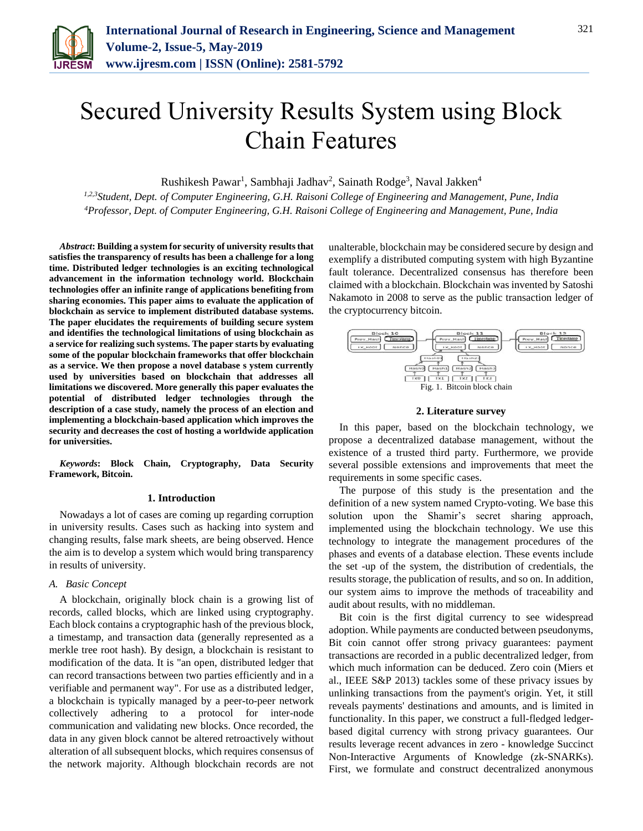

# Secured University Results System using Block Chain Features

Rushikesh Pawar<sup>1</sup>, Sambhaji Jadhav<sup>2</sup>, Sainath Rodge<sup>3</sup>, Naval Jakken<sup>4</sup>

*1,2,3Student, Dept. of Computer Engineering, G.H. Raisoni College of Engineering and Management, Pune, India 4Professor, Dept. of Computer Engineering, G.H. Raisoni College of Engineering and Management, Pune, India*

*Abstract***: Building a system for security of university results that satisfies the transparency of results has been a challenge for a long time. Distributed ledger technologies is an exciting technological advancement in the information technology world. Blockchain technologies offer an infinite range of applications benefiting from sharing economies. This paper aims to evaluate the application of blockchain as service to implement distributed database systems. The paper elucidates the requirements of building secure system and identifies the technological limitations of using blockchain as a service for realizing such systems. The paper starts by evaluating some of the popular blockchain frameworks that offer blockchain as a service. We then propose a novel database s ystem currently used by universities based on blockchain that addresses all limitations we discovered. More generally this paper evaluates the potential of distributed ledger technologies through the description of a case study, namely the process of an election and implementing a blockchain-based application which improves the security and decreases the cost of hosting a worldwide application for universities.**

*Keywords***: Block Chain, Cryptography, Data Security Framework, Bitcoin.**

#### **1. Introduction**

Nowadays a lot of cases are coming up regarding corruption in university results. Cases such as hacking into system and changing results, false mark sheets, are being observed. Hence the aim is to develop a system which would bring transparency in results of university.

# *A. Basic Concept*

A blockchain, originally block chain is a growing list of records, called blocks, which are linked using cryptography. Each block contains a cryptographic hash of the previous block, a timestamp, and transaction data (generally represented as a merkle tree root hash). By design, a blockchain is resistant to modification of the data. It is "an open, distributed ledger that can record transactions between two parties efficiently and in a verifiable and permanent way". For use as a distributed ledger, a blockchain is typically managed by a peer-to-peer network collectively adhering to a protocol for inter-node communication and validating new blocks. Once recorded, the data in any given block cannot be altered retroactively without alteration of all subsequent blocks, which requires consensus of the network majority. Although blockchain records are not unalterable, blockchain may be considered secure by design and exemplify a distributed computing system with high Byzantine fault tolerance. Decentralized consensus has therefore been claimed with a blockchain. Blockchain was invented by Satoshi Nakamoto in 2008 to serve as the public transaction ledger of the cryptocurrency bitcoin.



#### **2. Literature survey**

In this paper, based on the blockchain technology, we propose a decentralized database management, without the existence of a trusted third party. Furthermore, we provide several possible extensions and improvements that meet the requirements in some specific cases.

The purpose of this study is the presentation and the definition of a new system named Crypto-voting. We base this solution upon the Shamir's secret sharing approach, implemented using the blockchain technology. We use this technology to integrate the management procedures of the phases and events of a database election. These events include the set -up of the system, the distribution of credentials, the results storage, the publication of results, and so on. In addition, our system aims to improve the methods of traceability and audit about results, with no middleman.

Bit coin is the first digital currency to see widespread adoption. While payments are conducted between pseudonyms, Bit coin cannot offer strong privacy guarantees: payment transactions are recorded in a public decentralized ledger, from which much information can be deduced. Zero coin (Miers et al., IEEE S&P 2013) tackles some of these privacy issues by unlinking transactions from the payment's origin. Yet, it still reveals payments' destinations and amounts, and is limited in functionality. In this paper, we construct a full-fledged ledgerbased digital currency with strong privacy guarantees. Our results leverage recent advances in zero - knowledge Succinct Non-Interactive Arguments of Knowledge (zk-SNARKs). First, we formulate and construct decentralized anonymous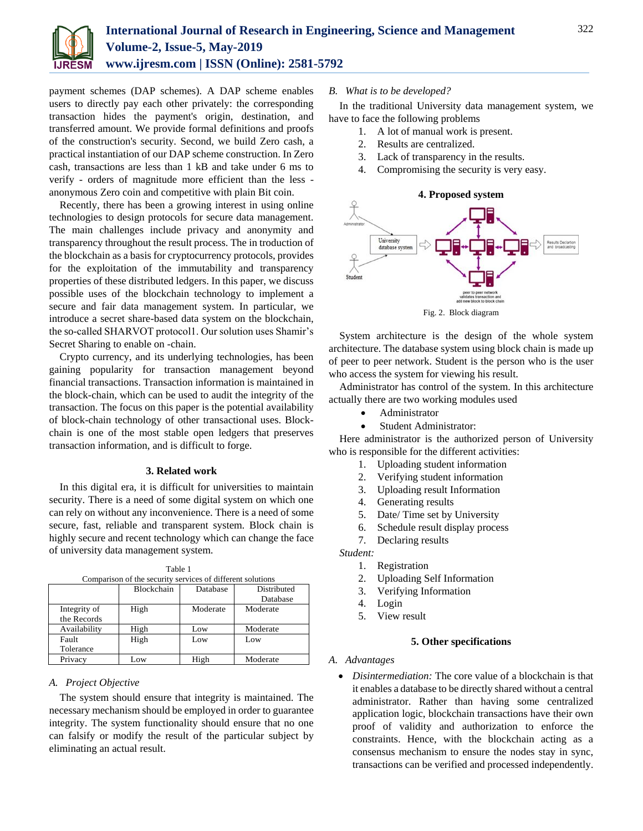

payment schemes (DAP schemes). A DAP scheme enables users to directly pay each other privately: the corresponding transaction hides the payment's origin, destination, and transferred amount. We provide formal definitions and proofs of the construction's security. Second, we build Zero cash, a practical instantiation of our DAP scheme construction. In Zero cash, transactions are less than 1 kB and take under 6 ms to verify - orders of magnitude more efficient than the less anonymous Zero coin and competitive with plain Bit coin.

Recently, there has been a growing interest in using online technologies to design protocols for secure data management. The main challenges include privacy and anonymity and transparency throughout the result process. The in troduction of the blockchain as a basis for cryptocurrency protocols, provides for the exploitation of the immutability and transparency properties of these distributed ledgers. In this paper, we discuss possible uses of the blockchain technology to implement a secure and fair data management system. In particular, we introduce a secret share-based data system on the blockchain, the so-called SHARVOT protocol1. Our solution uses Shamir's Secret Sharing to enable on -chain.

Crypto currency, and its underlying technologies, has been gaining popularity for transaction management beyond financial transactions. Transaction information is maintained in the block-chain, which can be used to audit the integrity of the transaction. The focus on this paper is the potential availability of block-chain technology of other transactional uses. Blockchain is one of the most stable open ledgers that preserves transaction information, and is difficult to forge.

#### **3. Related work**

In this digital era, it is difficult for universities to maintain security. There is a need of some digital system on which one can rely on without any inconvenience. There is a need of some secure, fast, reliable and transparent system. Block chain is highly secure and recent technology which can change the face of university data management system.

| Comparison of the security services of different solutions |            |          |             |
|------------------------------------------------------------|------------|----------|-------------|
|                                                            | Blockchain | Database | Distributed |
|                                                            |            |          | Database    |
| Integrity of                                               | High       | Moderate | Moderate    |
| the Records                                                |            |          |             |
| Availability                                               | High       | Low      | Moderate    |
| Fault                                                      | High       | Low      | Low         |
| Tolerance                                                  |            |          |             |
| Privacy                                                    | Low        | High     | Moderate    |

# Table 1

# *A. Project Objective*

The system should ensure that integrity is maintained. The necessary mechanism should be employed in order to guarantee integrity. The system functionality should ensure that no one can falsify or modify the result of the particular subject by eliminating an actual result.

# *B. What is to be developed?*

In the traditional University data management system, we have to face the following problems

- 1. A lot of manual work is present.
- 2. Results are centralized.
- 3. Lack of transparency in the results.
- 4. Compromising the security is very easy.



Fig. 2. Block diagram

System architecture is the design of the whole system architecture. The database system using block chain is made up of peer to peer network. Student is the person who is the user who access the system for viewing his result.

Administrator has control of the system. In this architecture actually there are two working modules used

- Administrator
- Student Administrator:

Here administrator is the authorized person of University who is responsible for the different activities:

- 1. Uploading student information
- 2. Verifying student information
- 3. Uploading result Information
- 4. Generating results
- 5. Date/ Time set by University
- 6. Schedule result display process

7. Declaring results

*Student:*

- 1. Registration
- 2. Uploading Self Information
- 3. Verifying Information
- 4. Login
- 5. View result

### **5. Other specifications**

#### *A. Advantages*

 *Disintermediation:* The core value of a blockchain is that it enables a database to be directly shared without a central administrator. Rather than having some centralized application logic, blockchain transactions have their own proof of validity and authorization to enforce the constraints. Hence, with the blockchain acting as a consensus mechanism to ensure the nodes stay in sync, transactions can be verified and processed independently.